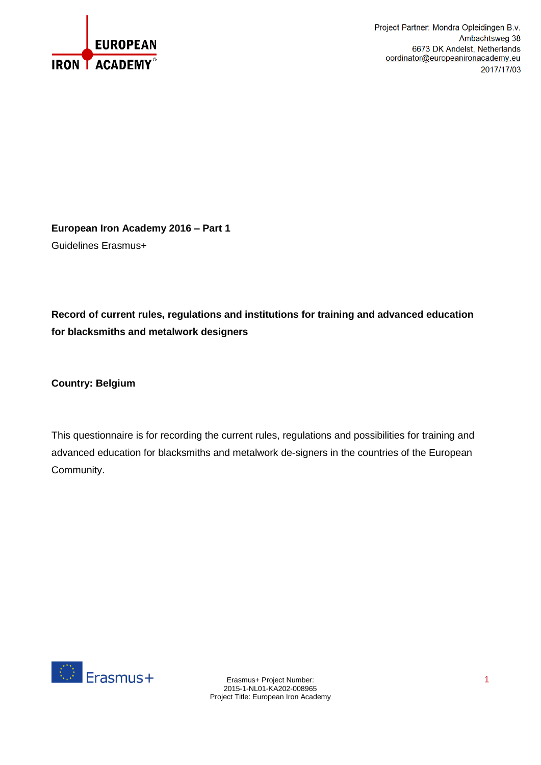

Project Partner: Mondra Opleidingen B.v. Ambachtsweg 38 6673 DK Andelst, Netherlands oordinator@europeanironacademy.eu 2017/17/03

**European Iron Academy 2016 – Part 1** Guidelines Erasmus+

**Record of current rules, regulations and institutions for training and advanced education for blacksmiths and metalwork designers**

**Country: Belgium**

This questionnaire is for recording the current rules, regulations and possibilities for training and advanced education for blacksmiths and metalwork de-signers in the countries of the European Community.

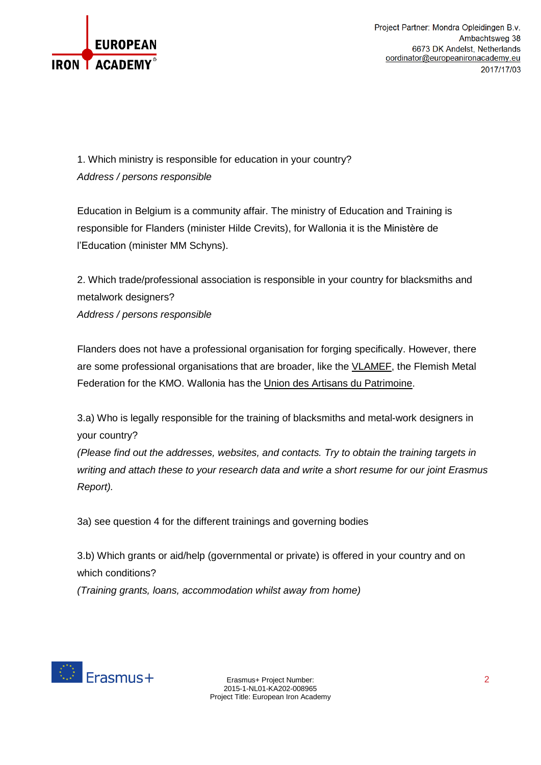

1. Which ministry is responsible for education in your country? *Address / persons responsible*

Education in Belgium is a community affair. The ministry of Education and Training is responsible for Flanders (minister Hilde Crevits), for Wallonia it is the Ministère de l'Education (minister MM Schyns).

2. Which trade/professional association is responsible in your country for blacksmiths and metalwork designers? *Address / persons responsible*

Flanders does not have a professional organisation for forging specifically. However, there are some professional organisations that are broader, like the [VLAMEF,](http://www.vlamef.be/nl/Sectornieuws) the Flemish Metal Federation for the KMO. Wallonia has the Union des Artisans du [Patrimoine.](http://www.uniondesartisansdupatrimoine.be/accueil)

3.a) Who is legally responsible for the training of blacksmiths and metal-work designers in your country?

*(Please find out the addresses, websites, and contacts. Try to obtain the training targets in writing and attach these to your research data and write a short resume for our joint Erasmus Report).*

3a) see question 4 for the different trainings and governing bodies

3.b) Which grants or aid/help (governmental or private) is offered in your country and on which conditions? *(Training grants, loans, accommodation whilst away from home)*



Erasmus+ Project Number: 2 2015-1-NL01-KA202-008965 Project Title: European Iron Academy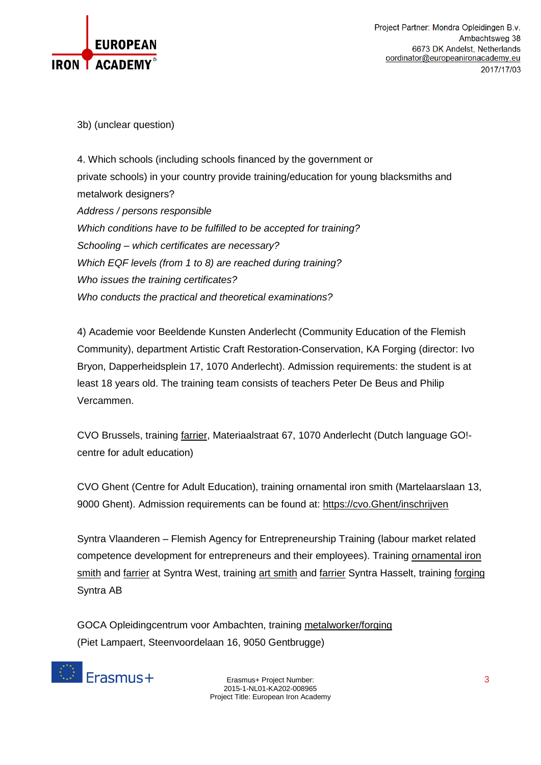

Project Partner: Mondra Opleidingen B.v. Ambachtsweg 38 6673 DK Andelst, Netherlands oordinator@europeanironacademy.eu 2017/17/03

3b) (unclear question)

4. Which schools (including schools financed by the government or private schools) in your country provide training/education for young blacksmiths and metalwork designers? *Address / persons responsible Which conditions have to be fulfilled to be accepted for training? Schooling – which certificates are necessary? Which EQF levels (from 1 to 8) are reached during training? Who issues the training certificates? Who conducts the practical and theoretical examinations?*

4) Academie voor Beeldende Kunsten Anderlecht (Community Education of the Flemish Community), department Artistic Craft Restoration-Conservation, KA Forging (director: Ivo Bryon, Dapperheidsplein 17, 1070 Anderlecht). Admission requirements: the student is at least 18 years old. The training team consists of teachers Peter De Beus and Philip Vercammen.

CVO Brussels, training [farrier,](http://www.cvobrussel.be/Opleidingen/Techniek/Hoefsmid.html) Materiaalstraat 67, 1070 Anderlecht (Dutch language GO! centre for adult education)

CVO Ghent (Centre for Adult Education), training ornamental iron smith (Martelaarslaan 13, 9000 Ghent). Admission requirements can be found at: [https://cvo.Ghent/inschrijven](https://cvo.gent/inschrijven)

Syntra Vlaanderen – Flemish Agency for Entrepreneurship Training (labour market related competence development for entrepreneurs and their employees). Training [ornamental](https://www.syntrawest.be/opleidingen/kunst_en_ambachten/antiek_restauratie_en_boek/kunstsmid.html) iron [smith](http://www.syntra-limburg.be/opleidingen/kunstsmid) and [farrier](http://www.syntra-limburg.be/opleidingen/hoefsmid) at Syntra West, training art smith and farrier Syntra Hasselt, training [forging](https://www.syntra-ab.be/opleidingen/smeden-tussen-hamer-en-aambeeld) Syntra AB

GOCA Opleidingcentrum voor Ambachten, training [metalworker/forging](http://www.goca-ambachten.be/nl/contact) (Piet Lampaert, Steenvoordelaan 16, 9050 Gentbrugge)



Erasmus+ Project Number: 3 2015-1-NL01-KA202-008965 Project Title: European Iron Academy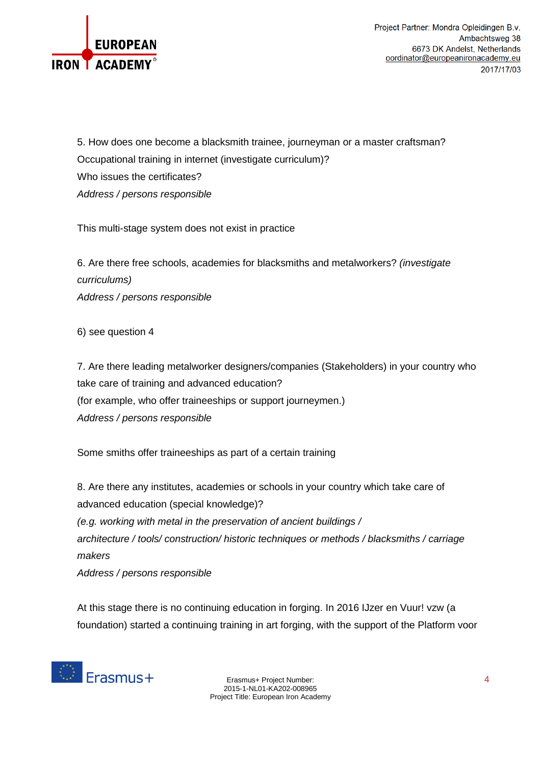

5. How does one become a blacksmith trainee, journeyman or a master craftsman? Occupational training in internet (investigate curriculum)? Who issues the certificates? *Address / persons responsible*

This multi-stage system does not exist in practice

6. Are there free schools, academies for blacksmiths and metalworkers? *(investigate curriculums) Address / persons responsible*

6) see question 4

7. Are there leading metalworker designers/companies (Stakeholders) in your country who take care of training and advanced education? (for example, who offer traineeships or support journeymen.) *Address / persons responsible*

Some smiths offer traineeships as part of a certain training

8. Are there any institutes, academies or schools in your country which take care of advanced education (special knowledge)? *(e.g. working with metal in the preservation of ancient buildings / architecture / tools/ construction/ historic techniques or methods / blacksmiths / carriage makers*

*Address / persons responsible*

At this stage there is no continuing education in forging. In 2016 IJzer en Vuur! vzw (a foundation) started a continuing training in art forging, with the support of the Platform voor



Erasmus+ Project Number: 4 2015-1-NL01-KA202-008965 Project Title: European Iron Academy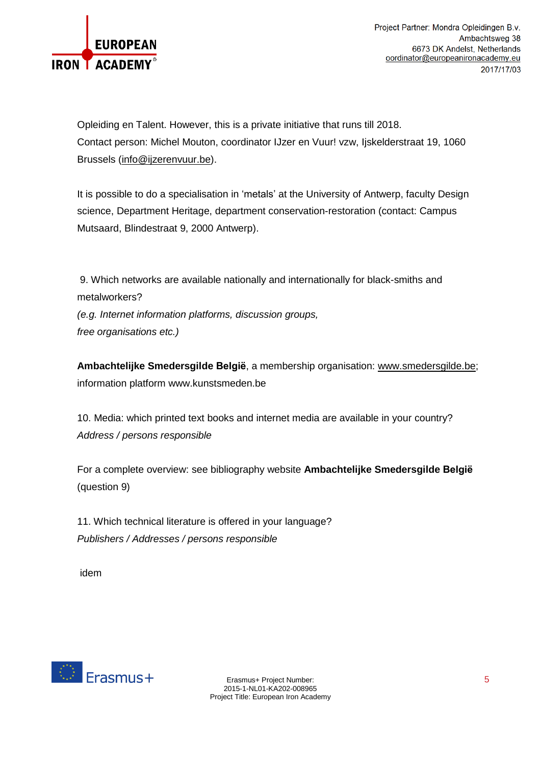

Opleiding en Talent. However, this is a private initiative that runs till 2018. Contact person: Michel Mouton, coordinator IJzer en Vuur! vzw, Ijskelderstraat 19, 1060 Brussels [\(info@ijzerenvuur.be\)](mailto:info@ijzerenvuur.be).

It is possible to do a specialisation in 'metals' at the University of Antwerp, faculty Design science, Department Heritage, department conservation-restoration (contact: Campus Mutsaard, Blindestraat 9, 2000 Antwerp).

9. Which networks are available nationally and internationally for black-smiths and metalworkers? *(e.g. Internet information platforms, discussion groups, free organisations etc.)*

**Ambachtelijke Smedersgilde België**, a membership organisation: [www.smedersgilde.be;](http://www.smedersgilde.be/) information platform www.kunstsmeden.be

10. Media: which printed text books and internet media are available in your country? *Address / persons responsible*

For a complete overview: see bibliography website **Ambachtelijke Smedersgilde België** (question 9)

11. Which technical literature is offered in your language? *Publishers / Addresses / persons responsible*

idem



Erasmus+ Project Number: 5 2015-1-NL01-KA202-008965 Project Title: European Iron Academy